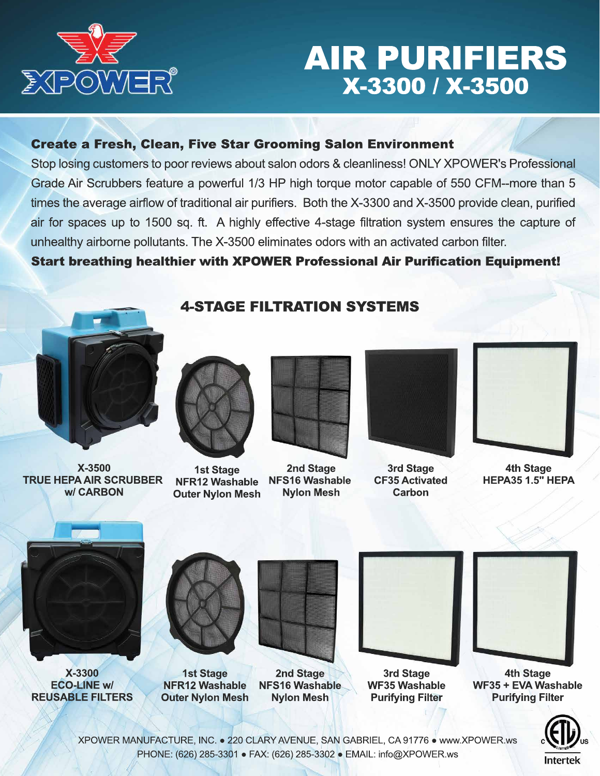

## AIR PURIFIERS X-3300 / X-3500

## Create a Fresh, Clean, Five Star Grooming Salon Environment

Stop losing customers to poor reviews about salon odors & cleanliness! ONLY XPOWER's Professional Grade Air Scrubbers feature a powerful 1/3 HP high torque motor capable of 550 CFM--more than 5 times the average airflow of traditional air purifiers. Both the X-3300 and X-3500 provide clean, purified air for spaces up to 1500 sq. ft. A highly effective 4-stage filtration system ensures the capture of unhealthy airborne pollutants. The X-3500 eliminates odors with an activated carbon filter.

## Start breathing healthier with XPOWER Professional Air Purification Equipment!

4-STAGE FILTRATION SYSTEMS



**X-3500 TRUE HEPA AIR SCRUBBER w/ CARBON**



**1st Stage NFR12 Washable Outer Nylon Mesh**



**2nd Stage NFS16 Washable Nylon Mesh**



**3rd Stage CF35 Activated Carbon**



**4th Stage HEPA35 1.5" HEPA**



**X-3300 ECO-LINE w/ REUSABLE FILTERS**



**1st Stage NFR12 Washable Outer Nylon Mesh**







**3rd Stage WF35 Washable Purifying Filter**



**4th Stage WF35 + EVA Washable Purifying Filter**



XPOWER MANUFACTURE, INC. ● 220 CLARYAVENUE, SAN GABRIEL, CA 91776 ● www.XPOWER.ws PHONE: (626) 285-3301 ● FAX: (626) 285-3302 ● EMAIL: info@XPOWER.ws